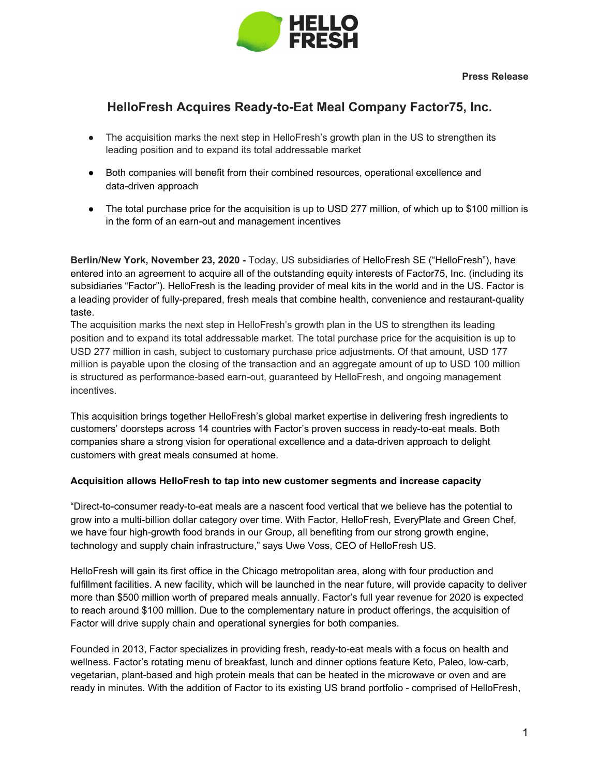

# **HelloFresh Acquires Ready-to-Eat Meal Company Factor75, Inc.**

- The acquisition marks the next step in HelloFresh's growth plan in the US to strengthen its leading position and to expand its total addressable market
- Both companies will benefit from their combined resources, operational excellence and data-driven approach
- The total purchase price for the acquisition is up to USD 277 million, of which up to \$100 million is in the form of an earn-out and management incentives

**Berlin/New York, November 23, 2020 -** Today, US subsidiaries of HelloFresh SE ("HelloFresh"), have entered into an agreement to acquire all of the outstanding equity interests of Factor75, Inc. (including its subsidiaries "Factor"). HelloFresh is the leading provider of meal kits in the world and in the US. Factor is a leading provider of fully-prepared, fresh meals that combine health, convenience and restaurant-quality taste.

The acquisition marks the next step in HelloFresh's growth plan in the US to strengthen its leading position and to expand its total addressable market. The total purchase price for the acquisition is up to USD 277 million in cash, subject to customary purchase price adjustments. Of that amount, USD 177 million is payable upon the closing of the transaction and an aggregate amount of up to USD 100 million is structured as performance-based earn-out, guaranteed by HelloFresh, and ongoing management incentives.

This acquisition brings together HelloFresh's global market expertise in delivering fresh ingredients to customers' doorsteps across 14 countries with Factor's proven success in ready-to-eat meals. Both companies share a strong vision for operational excellence and a data-driven approach to delight customers with great meals consumed at home.

## **Acquisition allows HelloFresh to tap into new customer segments and increase capacity**

"Direct-to-consumer ready-to-eat meals are a nascent food vertical that we believe has the potential to grow into a multi-billion dollar category over time. With Factor, HelloFresh, EveryPlate and Green Chef, we have four high-growth food brands in our Group, all benefiting from our strong growth engine, technology and supply chain infrastructure," says Uwe Voss, CEO of HelloFresh US.

HelloFresh will gain its first office in the Chicago metropolitan area, along with four production and fulfillment facilities. A new facility, which will be launched in the near future, will provide capacity to deliver more than \$500 million worth of prepared meals annually. Factor's full year revenue for 2020 is expected to reach around \$100 million. Due to the complementary nature in product offerings, the acquisition of Factor will drive supply chain and operational synergies for both companies.

Founded in 2013, Factor specializes in providing fresh, ready-to-eat meals with a focus on health and wellness. Factor's rotating menu of breakfast, lunch and dinner options feature Keto, Paleo, low-carb, vegetarian, plant-based and high protein meals that can be heated in the microwave or oven and are ready in minutes. With the addition of Factor to its existing US brand portfolio - comprised of HelloFresh,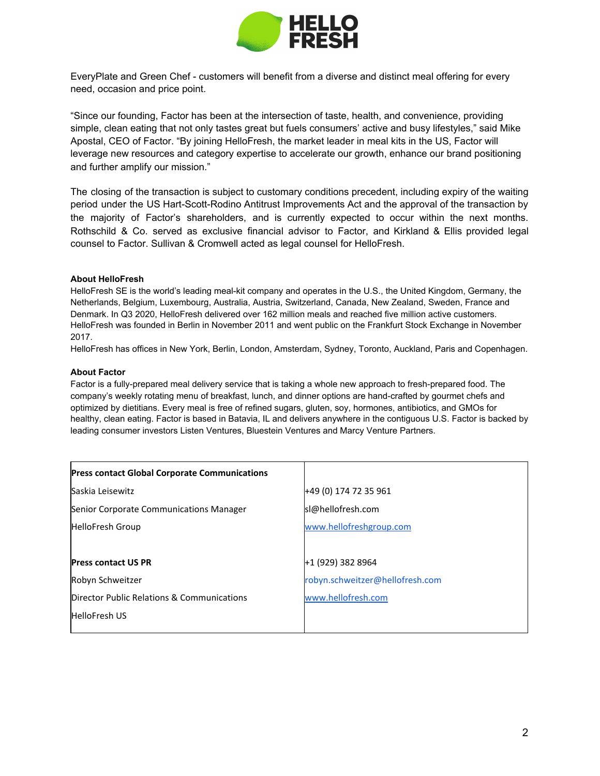

EveryPlate and Green Chef - customers will benefit from a diverse and distinct meal offering for every need, occasion and price point.

"Since our founding, Factor has been at the intersection of taste, health, and convenience, providing simple, clean eating that not only tastes great but fuels consumers' active and busy lifestyles," said Mike Apostal, CEO of Factor. "By joining HelloFresh, the market leader in meal kits in the US, Factor will leverage new resources and category expertise to accelerate our growth, enhance our brand positioning and further amplify our mission."

The closing of the transaction is subject to customary conditions precedent, including expiry of the waiting period under the US Hart-Scott-Rodino Antitrust Improvements Act and the approval of the transaction by the majority of Factor's shareholders, and is currently expected to occur within the next months. Rothschild & Co. served as exclusive financial advisor to Factor, and Kirkland & Ellis provided legal counsel to Factor. Sullivan & Cromwell acted as legal counsel for HelloFresh.

#### **About HelloFresh**

HelloFresh SE is the world's leading meal-kit company and operates in the U.S., the United Kingdom, Germany, the Netherlands, Belgium, Luxembourg, Australia, Austria, Switzerland, Canada, New Zealand, Sweden, France and Denmark. In Q3 2020, HelloFresh delivered over 162 million meals and reached five million active customers. HelloFresh was founded in Berlin in November 2011 and went public on the Frankfurt Stock Exchange in November 2017.

HelloFresh has offices in New York, Berlin, London, Amsterdam, Sydney, Toronto, Auckland, Paris and Copenhagen.

#### **About Factor**

Factor is a fully-prepared meal delivery service that is taking a whole new approach to fresh-prepared food. The company's weekly rotating menu of breakfast, lunch, and dinner options are hand-crafted by gourmet chefs and optimized by dietitians. Every meal is free of refined sugars, gluten, soy, hormones, antibiotics, and GMOs for healthy, clean eating. Factor is based in Batavia, IL and delivers anywhere in the contiguous U.S. Factor is backed by leading consumer investors Listen Ventures, Bluestein Ventures and Marcy Venture Partners.

| <b>Press contact Global Corporate Communications</b> |                                 |
|------------------------------------------------------|---------------------------------|
| Saskia Leisewitz                                     | +49 (0) 174 72 35 961           |
| Senior Corporate Communications Manager              | sl@hellofresh.com               |
| <b>HelloFresh Group</b>                              | www.hellofreshgroup.com         |
|                                                      |                                 |
| <b>Press contact US PR</b>                           | +1 (929) 382 8964               |
| Robyn Schweitzer                                     | robyn.schweitzer@hellofresh.com |
| Director Public Relations & Communications           | www.hellofresh.com              |
| <b>HelloFresh US</b>                                 |                                 |
|                                                      |                                 |